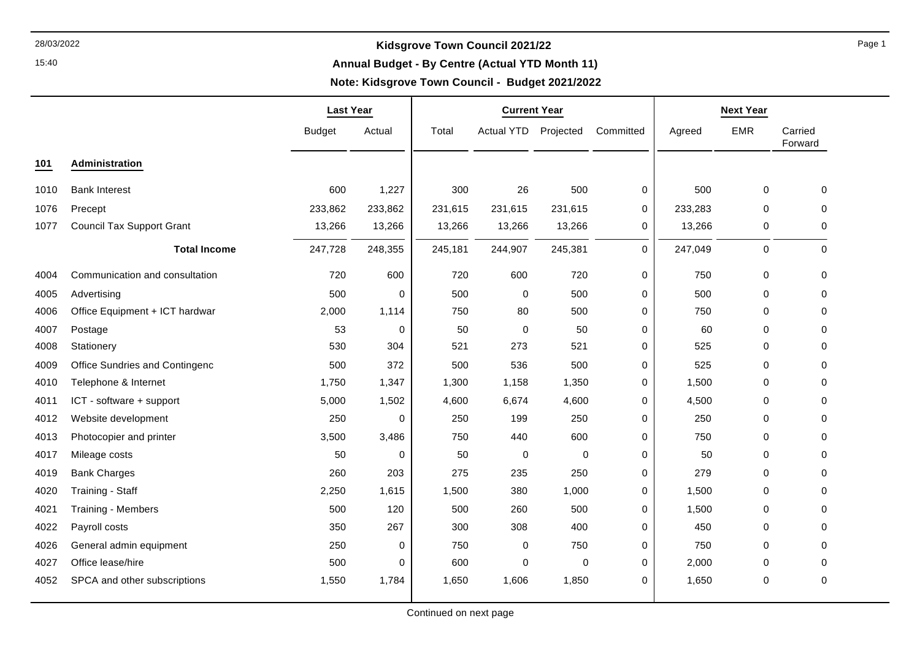15:40

### **Annual Budget - By Centre (Actual YTD Month 11)**

**Note: Kidsgrove Town Council - Budget 2021/2022**

|      |                                  | <b>Last Year</b> |             | <b>Current Year</b> |                   |           | <b>Next Year</b> |         |             |                    |
|------|----------------------------------|------------------|-------------|---------------------|-------------------|-----------|------------------|---------|-------------|--------------------|
|      |                                  | <b>Budget</b>    | Actual      | Total               | <b>Actual YTD</b> | Projected | Committed        | Agreed  | <b>EMR</b>  | Carried<br>Forward |
| 101  | Administration                   |                  |             |                     |                   |           |                  |         |             |                    |
| 1010 | <b>Bank Interest</b>             | 600              | 1,227       | 300                 | 26                | 500       | $\mathbf 0$      | 500     | 0           | $\Omega$           |
| 1076 | Precept                          | 233,862          | 233,862     | 231,615             | 231,615           | 231,615   | 0                | 233,283 | 0           | 0                  |
| 1077 | <b>Council Tax Support Grant</b> | 13,266           | 13,266      | 13,266              | 13,266            | 13,266    | $\mathbf 0$      | 13,266  | 0           | $\Omega$           |
|      | <b>Total Income</b>              | 247,728          | 248,355     | 245,181             | 244,907           | 245,381   | $\mathbf 0$      | 247,049 | $\mathbf 0$ | $\mathbf 0$        |
| 4004 | Communication and consultation   | 720              | 600         | 720                 | 600               | 720       | $\pmb{0}$        | 750     | 0           | 0                  |
| 4005 | Advertising                      | 500              | 0           | 500                 | 0                 | 500       | 0                | 500     | 0           | $\Omega$           |
| 4006 | Office Equipment + ICT hardwar   | 2,000            | 1,114       | 750                 | 80                | 500       | $\mathbf 0$      | 750     | $\Omega$    | $\Omega$           |
| 4007 | Postage                          | 53               | 0           | 50                  | 0                 | 50        | $\mathbf 0$      | 60      | $\Omega$    | 0                  |
| 4008 | Stationery                       | 530              | 304         | 521                 | 273               | 521       | $\mathbf 0$      | 525     | 0           | 0                  |
| 4009 | Office Sundries and Contingenc   | 500              | 372         | 500                 | 536               | 500       | $\mathbf 0$      | 525     | 0           | $\Omega$           |
| 4010 | Telephone & Internet             | 1,750            | 1,347       | 1,300               | 1,158             | 1,350     | 0                | 1,500   | 0           | 0                  |
| 4011 | ICT - software + support         | 5,000            | 1,502       | 4,600               | 6,674             | 4,600     | $\mathbf 0$      | 4,500   | 0           | $\Omega$           |
| 4012 | Website development              | 250              | $\mathbf 0$ | 250                 | 199               | 250       | $\mathbf 0$      | 250     | $\Omega$    | $\Omega$           |
| 4013 | Photocopier and printer          | 3,500            | 3,486       | 750                 | 440               | 600       | $\mathbf 0$      | 750     | 0           | 0                  |
| 4017 | Mileage costs                    | 50               | 0           | 50                  | 0                 | 0         | $\mathbf 0$      | 50      | 0           | 0                  |
| 4019 | <b>Bank Charges</b>              | 260              | 203         | 275                 | 235               | 250       | $\mathbf 0$      | 279     | 0           | $\Omega$           |
| 4020 | Training - Staff                 | 2,250            | 1,615       | 1,500               | 380               | 1,000     | $\mathbf 0$      | 1,500   | 0           | $\Omega$           |
| 4021 | Training - Members               | 500              | 120         | 500                 | 260               | 500       | $\mathbf 0$      | 1,500   | 0           | $\Omega$           |
| 4022 | Payroll costs                    | 350              | 267         | 300                 | 308               | 400       | $\mathbf 0$      | 450     | 0           | $\Omega$           |
| 4026 | General admin equipment          | 250              | 0           | 750                 | 0                 | 750       | 0                | 750     | 0           | $\Omega$           |
| 4027 | Office lease/hire                | 500              | 0           | 600                 | 0                 | 0         | 0                | 2,000   | 0           | 0                  |
| 4052 | SPCA and other subscriptions     | 1,550            | 1,784       | 1,650               | 1,606             | 1,850     | $\mathbf 0$      | 1,650   | 0           | $\mathbf 0$        |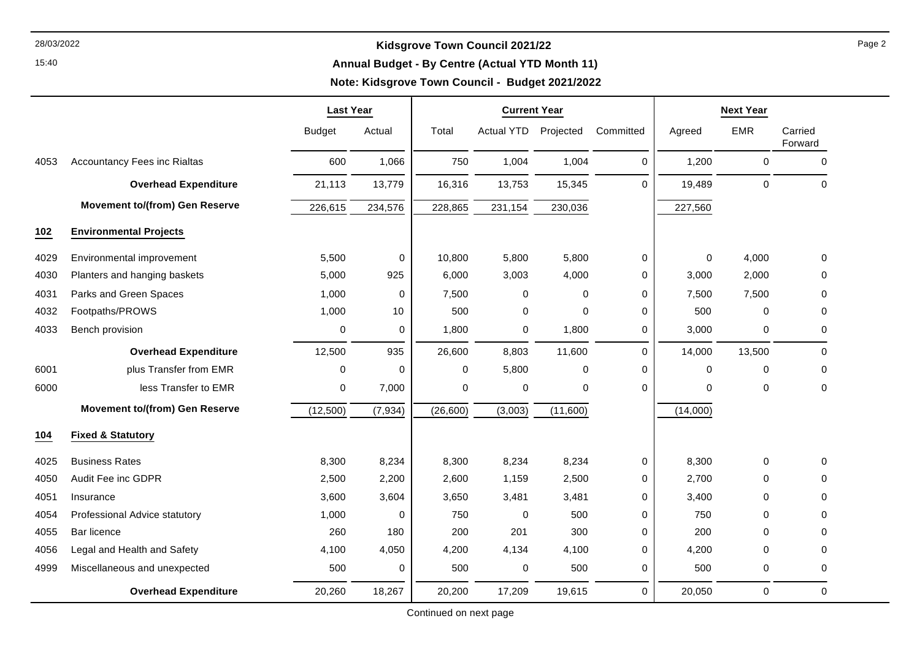15:40

### **Annual Budget - By Centre (Actual YTD Month 11)**

**Note: Kidsgrove Town Council - Budget 2021/2022**

|      |                                       | <b>Last Year</b> |             | <b>Current Year</b> |                   |           |             | <b>Next Year</b> |             |                    |
|------|---------------------------------------|------------------|-------------|---------------------|-------------------|-----------|-------------|------------------|-------------|--------------------|
|      |                                       | <b>Budget</b>    | Actual      | Total               | <b>Actual YTD</b> | Projected | Committed   | Agreed           | <b>EMR</b>  | Carried<br>Forward |
| 4053 | <b>Accountancy Fees inc Rialtas</b>   | 600              | 1,066       | 750                 | 1,004             | 1,004     | $\mathbf 0$ | 1,200            | $\mathbf 0$ | $\mathbf 0$        |
|      | <b>Overhead Expenditure</b>           | 21,113           | 13,779      | 16,316              | 13,753            | 15,345    | $\mathbf 0$ | 19,489           | $\mathbf 0$ | $\mathbf 0$        |
|      | <b>Movement to/(from) Gen Reserve</b> | 226,615          | 234,576     | 228,865             | 231,154           | 230,036   |             | 227,560          |             |                    |
| 102  | <b>Environmental Projects</b>         |                  |             |                     |                   |           |             |                  |             |                    |
| 4029 | Environmental improvement             | 5,500            | 0           | 10,800              | 5,800             | 5,800     | 0           | 0                | 4,000       | 0                  |
| 4030 | Planters and hanging baskets          | 5,000            | 925         | 6,000               | 3,003             | 4,000     | 0           | 3,000            | 2,000       | 0                  |
| 4031 | Parks and Green Spaces                | 1,000            | 0           | 7,500               | 0                 | $\Omega$  | 0           | 7,500            | 7,500       | $\mathbf 0$        |
| 4032 | Footpaths/PROWS                       | 1,000            | 10          | 500                 | 0                 | $\Omega$  | 0           | 500              | $\Omega$    | $\mathbf 0$        |
| 4033 | Bench provision                       | 0                | $\mathbf 0$ | 1,800               | $\mathbf 0$       | 1,800     | $\mathbf 0$ | 3,000            | $\mathbf 0$ | 0                  |
|      | <b>Overhead Expenditure</b>           | 12,500           | 935         | 26,600              | 8,803             | 11,600    | $\Omega$    | 14,000           | 13,500      | $\Omega$           |
| 6001 | plus Transfer from EMR                | 0                | 0           | 0                   | 5,800             | 0         | 0           | 0                | $\Omega$    | 0                  |
| 6000 | less Transfer to EMR                  | 0                | 7,000       | 0                   | 0                 | $\Omega$  | $\Omega$    | $\Omega$         | 0           | $\mathbf 0$        |
|      | <b>Movement to/(from) Gen Reserve</b> | (12,500)         | (7, 934)    | (26, 600)           | (3,003)           | (11,600)  |             | (14,000)         |             |                    |
| 104  | <b>Fixed &amp; Statutory</b>          |                  |             |                     |                   |           |             |                  |             |                    |
| 4025 | <b>Business Rates</b>                 | 8,300            | 8,234       | 8,300               | 8,234             | 8,234     | 0           | 8,300            | $\Omega$    | 0                  |
| 4050 | Audit Fee inc GDPR                    | 2,500            | 2,200       | 2,600               | 1,159             | 2,500     | 0           | 2,700            | $\Omega$    | 0                  |
| 4051 | Insurance                             | 3,600            | 3,604       | 3,650               | 3,481             | 3,481     | 0           | 3,400            | 0           | 0                  |
| 4054 | Professional Advice statutory         | 1,000            | 0           | 750                 | 0                 | 500       | $\mathbf 0$ | 750              | $\Omega$    | $\mathbf 0$        |
| 4055 | Bar licence                           | 260              | 180         | 200                 | 201               | 300       | 0           | 200              | 0           | 0                  |
| 4056 | Legal and Health and Safety           | 4,100            | 4,050       | 4,200               | 4,134             | 4,100     | 0           | 4,200            | 0           | $\mathbf 0$        |
| 4999 | Miscellaneous and unexpected          | 500              | 0           | 500                 | 0                 | 500       | 0           | 500              | 0           | $\mathbf 0$        |
|      | <b>Overhead Expenditure</b>           | 20,260           | 18,267      | 20,200              | 17,209            | 19,615    | $\Omega$    | 20,050           | 0           | 0                  |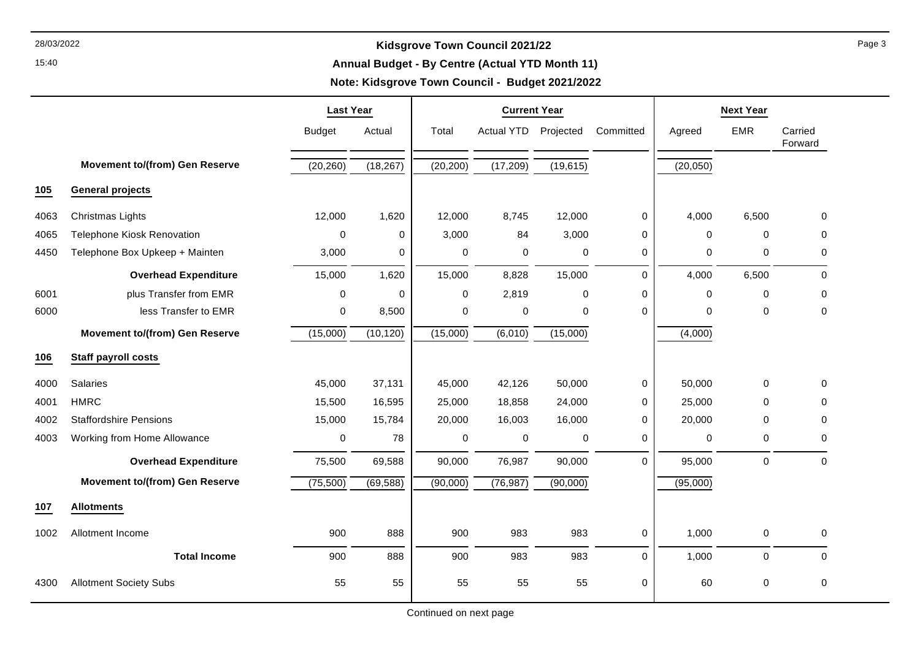15:40

### **Annual Budget - By Centre (Actual YTD Month 11)**

**Note: Kidsgrove Town Council - Budget 2021/2022**

⊤

|      |                                       | <b>Last Year</b> |             | <b>Current Year</b> |             |             | <b>Next Year</b> |             |             |                    |
|------|---------------------------------------|------------------|-------------|---------------------|-------------|-------------|------------------|-------------|-------------|--------------------|
|      |                                       | <b>Budget</b>    | Actual      | Total               | Actual YTD  | Projected   | Committed        | Agreed      | <b>EMR</b>  | Carried<br>Forward |
|      | <b>Movement to/(from) Gen Reserve</b> | (20, 260)        | (18, 267)   | (20, 200)           | (17, 209)   | (19, 615)   |                  | (20, 050)   |             |                    |
| 105  | <b>General projects</b>               |                  |             |                     |             |             |                  |             |             |                    |
| 4063 | Christmas Lights                      | 12,000           | 1,620       | 12,000              | 8,745       | 12,000      | 0                | 4,000       | 6,500       | $\mathbf 0$        |
| 4065 | Telephone Kiosk Renovation            | $\pmb{0}$        | $\mathbf 0$ | 3,000               | 84          | 3,000       | 0                | $\mathbf 0$ | 0           | $\mathbf 0$        |
| 4450 | Telephone Box Upkeep + Mainten        | 3,000            | 0           | $\mathbf 0$         | $\mathbf 0$ | 0           | 0                | 0           | 0           | $\mathbf 0$        |
|      | <b>Overhead Expenditure</b>           | 15,000           | 1,620       | 15,000              | 8,828       | 15,000      | $\Omega$         | 4,000       | 6,500       | $\mathbf 0$        |
| 6001 | plus Transfer from EMR                | 0                | 0           | 0                   | 2,819       | 0           | 0                | 0           | 0           | 0                  |
| 6000 | less Transfer to EMR                  | 0                | 8,500       | $\mathbf 0$         | $\pmb{0}$   | 0           | $\mathbf 0$      | $\mathbf 0$ | 0           | $\mathbf 0$        |
|      | <b>Movement to/(from) Gen Reserve</b> | (15,000)         | (10, 120)   | (15,000)            | (6,010)     | (15,000)    |                  | (4,000)     |             |                    |
| 106  | <b>Staff payroll costs</b>            |                  |             |                     |             |             |                  |             |             |                    |
| 4000 | Salaries                              | 45,000           | 37,131      | 45,000              | 42,126      | 50,000      | 0                | 50,000      | $\mathbf 0$ | 0                  |
| 4001 | <b>HMRC</b>                           | 15,500           | 16,595      | 25,000              | 18,858      | 24,000      | 0                | 25,000      | 0           | 0                  |
| 4002 | <b>Staffordshire Pensions</b>         | 15,000           | 15,784      | 20,000              | 16,003      | 16,000      | $\mathbf 0$      | 20,000      | 0           | $\mathbf 0$        |
| 4003 | Working from Home Allowance           | 0                | 78          | $\mathbf 0$         | $\mathbf 0$ | $\mathbf 0$ | 0                | 0           | 0           | $\mathbf 0$        |
|      | <b>Overhead Expenditure</b>           | 75,500           | 69,588      | 90,000              | 76,987      | 90,000      | $\Omega$         | 95,000      | $\mathbf 0$ | $\mathbf 0$        |
|      | <b>Movement to/(from) Gen Reserve</b> | (75, 500)        | (69, 588)   | (90,000)            | (76, 987)   | (90,000)    |                  | (95,000)    |             |                    |
| 107  | <b>Allotments</b>                     |                  |             |                     |             |             |                  |             |             |                    |
| 1002 | Allotment Income                      | 900              | 888         | 900                 | 983         | 983         | 0                | 1,000       | 0           | $\mathbf 0$        |
|      | <b>Total Income</b>                   | 900              | 888         | 900                 | 983         | 983         | $\Omega$         | 1,000       | $\mathbf 0$ | $\Omega$           |
| 4300 | <b>Allotment Society Subs</b>         | 55               | 55          | 55                  | 55          | 55          | 0                | 60          | 0           | $\mathbf 0$        |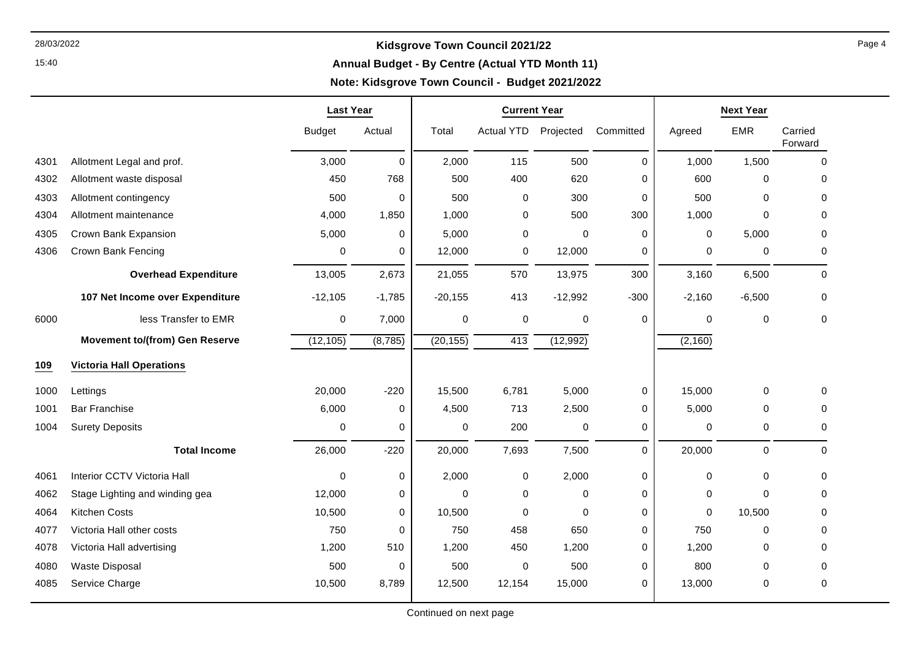**Annual Budget - By Centre (Actual YTD Month 11)**

**Note: Kidsgrove Town Council - Budget 2021/2022**

|      |                                       |               | <b>Last Year</b> |             | <b>Current Year</b> |             |             |             | <b>Next Year</b> |                    |  |
|------|---------------------------------------|---------------|------------------|-------------|---------------------|-------------|-------------|-------------|------------------|--------------------|--|
|      |                                       | <b>Budget</b> | Actual           | Total       | <b>Actual YTD</b>   | Projected   | Committed   | Agreed      | <b>EMR</b>       | Carried<br>Forward |  |
| 4301 | Allotment Legal and prof.             | 3,000         | $\mathbf 0$      | 2,000       | 115                 | 500         | $\mathbf 0$ | 1,000       | 1,500            | $\mathbf 0$        |  |
| 4302 | Allotment waste disposal              | 450           | 768              | 500         | 400                 | 620         | 0           | 600         | 0                | 0                  |  |
| 4303 | Allotment contingency                 | 500           | $\mathbf 0$      | 500         | 0                   | 300         | $\Omega$    | 500         | 0                | 0                  |  |
| 4304 | Allotment maintenance                 | 4,000         | 1,850            | 1,000       | 0                   | 500         | 300         | 1,000       | 0                | 0                  |  |
| 4305 | Crown Bank Expansion                  | 5,000         | 0                | 5,000       | $\mathbf 0$         | $\mathbf 0$ | $\mathbf 0$ | $\mathbf 0$ | 5,000            | 0                  |  |
| 4306 | Crown Bank Fencing                    | 0             | 0                | 12,000      | 0                   | 12,000      | $\Omega$    | $\mathbf 0$ | 0                | 0                  |  |
|      | <b>Overhead Expenditure</b>           | 13,005        | 2,673            | 21,055      | 570                 | 13,975      | 300         | 3,160       | 6,500            | 0                  |  |
|      | 107 Net Income over Expenditure       | $-12,105$     | $-1,785$         | $-20,155$   | 413                 | $-12,992$   | $-300$      | $-2,160$    | $-6,500$         | 0                  |  |
| 6000 | less Transfer to EMR                  | 0             | 7,000            | 0           | $\pmb{0}$           | 0           | $\Omega$    | $\mathbf 0$ | 0                | 0                  |  |
|      | <b>Movement to/(from) Gen Reserve</b> | (12, 105)     | (8,785)          | (20, 155)   | $\overline{413}$    | (12, 992)   |             | (2, 160)    |                  |                    |  |
| 109  | <b>Victoria Hall Operations</b>       |               |                  |             |                     |             |             |             |                  |                    |  |
| 1000 | Lettings                              | 20,000        | $-220$           | 15,500      | 6,781               | 5,000       | 0           | 15,000      | $\mathbf 0$      | 0                  |  |
| 1001 | <b>Bar Franchise</b>                  | 6,000         | 0                | 4,500       | 713                 | 2,500       | 0           | 5,000       | 0                | 0                  |  |
| 1004 | <b>Surety Deposits</b>                | $\mathbf 0$   | $\mathbf 0$      | $\mathbf 0$ | 200                 | 0           | $\Omega$    | $\mathbf 0$ | 0                | 0                  |  |
|      | <b>Total Income</b>                   | 26,000        | $-220$           | 20,000      | 7,693               | 7,500       | $\Omega$    | 20,000      | $\mathbf 0$      | 0                  |  |
| 4061 | Interior CCTV Victoria Hall           | 0             | 0                | 2,000       | 0                   | 2,000       | 0           | $\mathbf 0$ | 0                | 0                  |  |
| 4062 | Stage Lighting and winding gea        | 12,000        | 0                | $\mathbf 0$ | $\mathbf 0$         | 0           | $\mathbf 0$ | $\mathbf 0$ | 0                | 0                  |  |
| 4064 | <b>Kitchen Costs</b>                  | 10,500        | $\Omega$         | 10,500      | $\mathbf 0$         | 0           | 0           | $\mathbf 0$ | 10,500           | 0                  |  |
| 4077 | Victoria Hall other costs             | 750           | $\mathbf 0$      | 750         | 458                 | 650         | 0           | 750         | $\mathbf 0$      | 0                  |  |
| 4078 | Victoria Hall advertising             | 1,200         | 510              | 1,200       | 450                 | 1,200       | 0           | 1,200       | 0                | 0                  |  |
| 4080 | <b>Waste Disposal</b>                 | 500           | 0                | 500         | 0                   | 500         | 0           | 800         | 0                | 0                  |  |
| 4085 | Service Charge                        | 10,500        | 8,789            | 12,500      | 12,154              | 15,000      | $\Omega$    | 13,000      | 0                | 0                  |  |

15:40

Continued on next page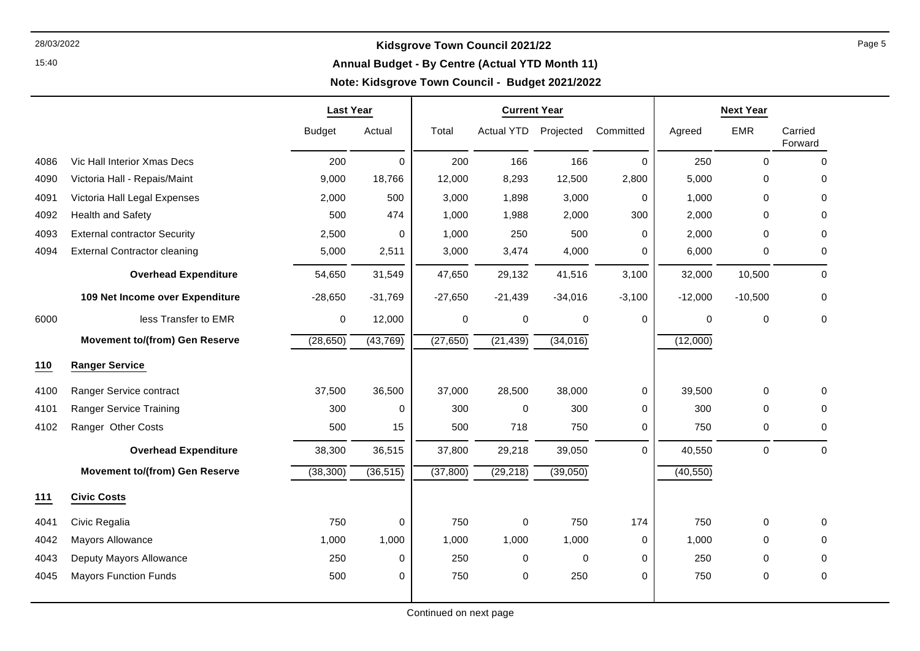**Annual Budget - By Centre (Actual YTD Month 11)**

**Note: Kidsgrove Town Council - Budget 2021/2022**

|      |                                       | <b>Last Year</b> |             |           | <b>Current Year</b> |             |             |           | <b>Next Year</b> |                    |  |
|------|---------------------------------------|------------------|-------------|-----------|---------------------|-------------|-------------|-----------|------------------|--------------------|--|
|      |                                       | <b>Budget</b>    | Actual      | Total     | <b>Actual YTD</b>   | Projected   | Committed   | Agreed    | <b>EMR</b>       | Carried<br>Forward |  |
| 4086 | Vic Hall Interior Xmas Decs           | 200              | $\Omega$    | 200       | 166                 | 166         | $\Omega$    | 250       | $\Omega$         | $\Omega$           |  |
| 4090 | Victoria Hall - Repais/Maint          | 9,000            | 18,766      | 12,000    | 8,293               | 12,500      | 2,800       | 5,000     | 0                | $\mathbf 0$        |  |
| 4091 | Victoria Hall Legal Expenses          | 2,000            | 500         | 3.000     | 1,898               | 3,000       | $\mathbf 0$ | 1,000     | 0                | $\Omega$           |  |
| 4092 | Health and Safety                     | 500              | 474         | 1,000     | 1,988               | 2,000       | 300         | 2,000     | 0                | 0                  |  |
| 4093 | <b>External contractor Security</b>   | 2,500            | $\Omega$    | 1,000     | 250                 | 500         | $\mathbf 0$ | 2.000     | $\Omega$         | $\Omega$           |  |
| 4094 | <b>External Contractor cleaning</b>   | 5,000            | 2,511       | 3,000     | 3,474               | 4,000       | 0           | 6,000     | 0                | 0                  |  |
|      | <b>Overhead Expenditure</b>           | 54,650           | 31,549      | 47,650    | 29,132              | 41,516      | 3,100       | 32,000    | 10,500           | $\mathbf 0$        |  |
|      | 109 Net Income over Expenditure       | $-28,650$        | $-31,769$   | $-27,650$ | $-21,439$           | $-34,016$   | $-3,100$    | $-12,000$ | $-10,500$        | 0                  |  |
| 6000 | less Transfer to EMR                  | 0                | 12,000      | 0         | $\mathbf 0$         | $\mathbf 0$ | $\mathbf 0$ | $\Omega$  | 0                | $\mathbf 0$        |  |
|      | <b>Movement to/(from) Gen Reserve</b> | (28, 650)        | (43, 769)   | (27, 650) | (21, 439)           | (34, 016)   |             | (12,000)  |                  |                    |  |
| 110  | <b>Ranger Service</b>                 |                  |             |           |                     |             |             |           |                  |                    |  |
| 4100 | Ranger Service contract               | 37,500           | 36,500      | 37,000    | 28,500              | 38,000      | $\mathbf 0$ | 39,500    | $\Omega$         | $\Omega$           |  |
| 4101 | Ranger Service Training               | 300              | $\pmb{0}$   | 300       | $\mathbf 0$         | 300         | $\mathbf 0$ | 300       | 0                | 0                  |  |
| 4102 | Ranger Other Costs                    | 500              | 15          | 500       | 718                 | 750         | $\Omega$    | 750       | 0                | 0                  |  |
|      | <b>Overhead Expenditure</b>           | 38,300           | 36,515      | 37,800    | 29,218              | 39,050      | $\Omega$    | 40,550    | $\mathbf 0$      | 0                  |  |
|      | <b>Movement to/(from) Gen Reserve</b> | (38, 300)        | (36, 515)   | (37,800)  | (29, 218)           | (39,050)    |             | (40, 550) |                  |                    |  |
| 111  | <b>Civic Costs</b>                    |                  |             |           |                     |             |             |           |                  |                    |  |
| 4041 | Civic Regalia                         | 750              | $\mathbf 0$ | 750       | $\mathbf 0$         | 750         | 174         | 750       | $\mathbf 0$      | $\mathbf 0$        |  |
| 4042 | Mayors Allowance                      | 1,000            | 1,000       | 1,000     | 1,000               | 1,000       | 0           | 1,000     | $\Omega$         | $\Omega$           |  |
| 4043 | Deputy Mayors Allowance               | 250              | $\mathbf 0$ | 250       | $\mathbf 0$         | $\mathbf 0$ | $\mathbf 0$ | 250       | 0                | $\mathbf 0$        |  |
| 4045 | <b>Mayors Function Funds</b>          | 500              | $\Omega$    | 750       | 0                   | 250         | $\Omega$    | 750       | $\Omega$         | $\Omega$           |  |

15:40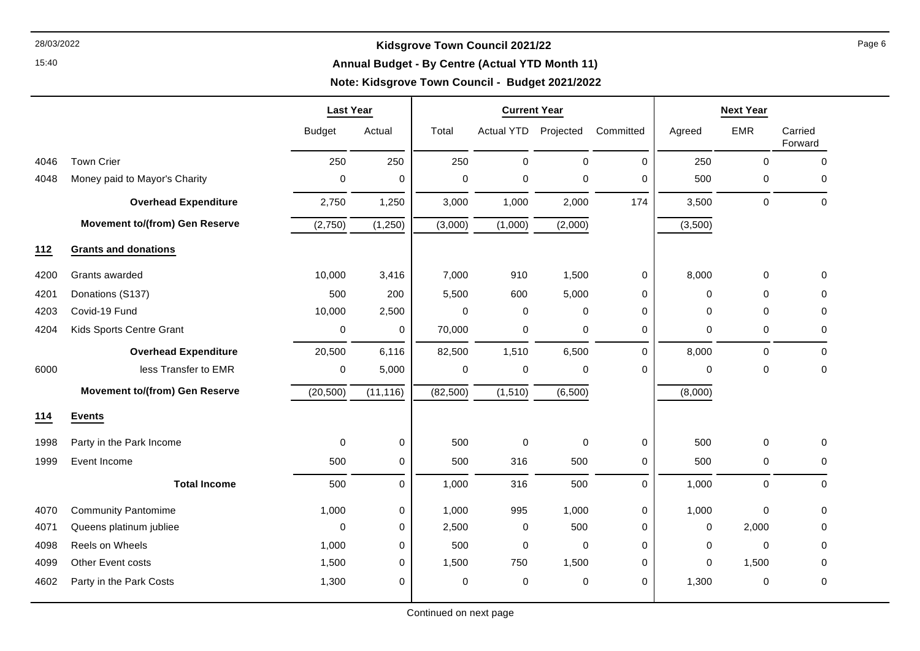**Annual Budget - By Centre (Actual YTD Month 11)**

**Note: Kidsgrove Town Council - Budget 2021/2022**

|      |                                       | <b>Last Year</b> |             |             | <b>Current Year</b> |             |             |             | <b>Next Year</b> |                    |  |  |
|------|---------------------------------------|------------------|-------------|-------------|---------------------|-------------|-------------|-------------|------------------|--------------------|--|--|
|      |                                       | <b>Budget</b>    | Actual      | Total       | Actual YTD          | Projected   | Committed   | Agreed      | <b>EMR</b>       | Carried<br>Forward |  |  |
| 4046 | <b>Town Crier</b>                     | 250              | 250         | 250         | $\mathbf 0$         | $\mathbf 0$ | $\mathbf 0$ | 250         | $\mathbf 0$      | $\mathbf 0$        |  |  |
| 4048 | Money paid to Mayor's Charity         | 0                | 0           | $\mathbf 0$ | $\mathbf 0$         | $\mathbf 0$ | $\Omega$    | 500         | 0                | 0                  |  |  |
|      | <b>Overhead Expenditure</b>           | 2,750            | 1,250       | 3,000       | 1,000               | 2,000       | 174         | 3,500       | $\mathbf 0$      | 0                  |  |  |
|      | <b>Movement to/(from) Gen Reserve</b> | (2,750)          | (1,250)     | (3,000)     | (1,000)             | (2,000)     |             | (3,500)     |                  |                    |  |  |
| 112  | <b>Grants and donations</b>           |                  |             |             |                     |             |             |             |                  |                    |  |  |
| 4200 | Grants awarded                        | 10,000           | 3,416       | 7,000       | 910                 | 1,500       | $\mathbf 0$ | 8,000       | $\mathbf 0$      | 0                  |  |  |
| 4201 | Donations (S137)                      | 500              | 200         | 5,500       | 600                 | 5,000       | 0           | $\Omega$    | $\Omega$         | 0                  |  |  |
| 4203 | Covid-19 Fund                         | 10,000           | 2,500       | $\mathbf 0$ | $\pmb{0}$           | 0           | $\mathbf 0$ | $\mathbf 0$ | 0                | 0                  |  |  |
| 4204 | Kids Sports Centre Grant              | 0                | 0           | 70,000      | 0                   | 0           | $\Omega$    | $\Omega$    | 0                | 0                  |  |  |
|      | <b>Overhead Expenditure</b>           | 20,500           | 6,116       | 82,500      | 1,510               | 6,500       | $\Omega$    | 8,000       | 0                | $\Omega$           |  |  |
| 6000 | less Transfer to EMR                  | 0                | 5,000       | 0           | $\mathbf 0$         | 0           | $\Omega$    | $\mathbf 0$ | $\mathbf 0$      | 0                  |  |  |
|      | <b>Movement to/(from) Gen Reserve</b> | (20, 500)        | (11, 116)   | (82, 500)   | (1,510)             | (6,500)     |             | (8,000)     |                  |                    |  |  |
| 114  | <b>Events</b>                         |                  |             |             |                     |             |             |             |                  |                    |  |  |
| 1998 | Party in the Park Income              | 0                | 0           | 500         | 0                   | 0           | 0           | 500         | $\mathbf 0$      | 0                  |  |  |
| 1999 | Event Income                          | 500              | $\mathbf 0$ | 500         | 316                 | 500         | 0           | 500         | $\mathbf 0$      | 0                  |  |  |
|      | <b>Total Income</b>                   | 500              | $\Omega$    | 1,000       | 316                 | 500         | $\Omega$    | 1,000       | $\mathbf 0$      | 0                  |  |  |
| 4070 | <b>Community Pantomime</b>            | 1,000            | 0           | 1,000       | 995                 | 1,000       | 0           | 1,000       | $\Omega$         | 0                  |  |  |
| 4071 | Queens platinum jubliee               | $\pmb{0}$        | $\mathbf 0$ | 2,500       | $\mathbf 0$         | 500         | 0           | $\mathbf 0$ | 2,000            | 0                  |  |  |
| 4098 | Reels on Wheels                       | 1,000            | 0           | 500         | 0                   | 0           | $\Omega$    | $\mathbf 0$ | $\Omega$         | 0                  |  |  |
| 4099 | Other Event costs                     | 1,500            | 0           | 1,500       | 750                 | 1,500       | 0           | $\mathbf 0$ | 1,500            | 0                  |  |  |
| 4602 | Party in the Park Costs               | 1,300            | 0           | 0           | $\mathbf 0$         | $\pmb{0}$   | $\mathbf 0$ | 1,300       | $\mathbf 0$      | 0                  |  |  |

15:40

Continued on next page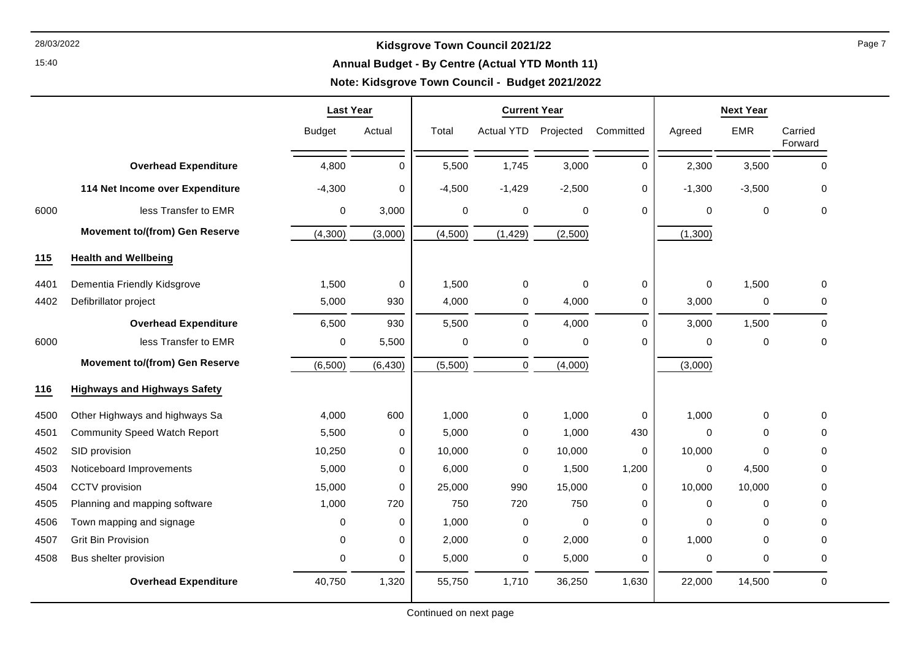15:40

# 28/03/2022 **Kidsgrove Town Council 2021/22**

**Annual Budget - By Centre (Actual YTD Month 11)**

**Note: Kidsgrove Town Council - Budget 2021/2022**

⊤

|      |                                       | <b>Last Year</b> |             | <b>Current Year</b> |                   |             | <b>Next Year</b> |             |             |                    |
|------|---------------------------------------|------------------|-------------|---------------------|-------------------|-------------|------------------|-------------|-------------|--------------------|
|      |                                       | <b>Budget</b>    | Actual      | Total               | <b>Actual YTD</b> | Projected   | Committed        | Agreed      | <b>EMR</b>  | Carried<br>Forward |
|      | <b>Overhead Expenditure</b>           | 4,800            | $\Omega$    | 5,500               | 1,745             | 3,000       | $\Omega$         | 2,300       | 3,500       | $\mathbf 0$        |
|      | 114 Net Income over Expenditure       | $-4,300$         | $\mathbf 0$ | $-4,500$            | $-1,429$          | $-2,500$    | $\mathbf 0$      | $-1,300$    | $-3,500$    | 0                  |
| 6000 | less Transfer to EMR                  | 0                | 3,000       | 0                   | 0                 | 0           | 0                | $\mathbf 0$ | $\mathbf 0$ | 0                  |
|      | <b>Movement to/(from) Gen Reserve</b> | (4,300)          | (3,000)     | (4,500)             | (1, 429)          | (2,500)     |                  | (1,300)     |             |                    |
| 115  | <b>Health and Wellbeing</b>           |                  |             |                     |                   |             |                  |             |             |                    |
| 4401 | Dementia Friendly Kidsgrove           | 1,500            | $\mathbf 0$ | 1,500               | 0                 | $\Omega$    | 0                | $\mathbf 0$ | 1,500       | 0                  |
| 4402 | Defibrillator project                 | 5,000            | 930         | 4,000               | 0                 | 4,000       | 0                | 3,000       | 0           | 0                  |
|      | <b>Overhead Expenditure</b>           | 6,500            | 930         | 5,500               | 0                 | 4,000       | $\Omega$         | 3,000       | 1,500       | $\mathbf 0$        |
| 6000 | less Transfer to EMR                  | 0                | 5,500       | $\pmb{0}$           | $\pmb{0}$         | $\pmb{0}$   | $\mathbf 0$      | $\mathbf 0$ | $\pmb{0}$   | $\mathbf 0$        |
|      | <b>Movement to/(from) Gen Reserve</b> | (6, 500)         | (6, 430)    | (5,500)             | $\mathsf 0$       | (4,000)     |                  | (3,000)     |             |                    |
| 116  | <b>Highways and Highways Safety</b>   |                  |             |                     |                   |             |                  |             |             |                    |
| 4500 | Other Highways and highways Sa        | 4,000            | 600         | 1,000               | $\pmb{0}$         | 1,000       | 0                | 1,000       | 0           | 0                  |
| 4501 | <b>Community Speed Watch Report</b>   | 5,500            | $\pmb{0}$   | 5,000               | 0                 | 1,000       | 430              | $\mathbf 0$ | 0           | 0                  |
| 4502 | SID provision                         | 10,250           | $\mathbf 0$ | 10,000              | 0                 | 10,000      | 0                | 10,000      | $\Omega$    | $\mathbf 0$        |
| 4503 | Noticeboard Improvements              | 5,000            | 0           | 6,000               | $\mathbf 0$       | 1,500       | 1,200            | $\mathbf 0$ | 4,500       | $\mathbf 0$        |
| 4504 | CCTV provision                        | 15,000           | $\mathbf 0$ | 25,000              | 990               | 15,000      | 0                | 10,000      | 10,000      | 0                  |
| 4505 | Planning and mapping software         | 1,000            | 720         | 750                 | 720               | 750         | 0                | 0           | $\pmb{0}$   | 0                  |
| 4506 | Town mapping and signage              | 0                | $\mathbf 0$ | 1,000               | 0                 | $\mathbf 0$ | 0                | $\Omega$    | 0           | $\mathbf 0$        |
| 4507 | <b>Grit Bin Provision</b>             | 0                | $\mathbf 0$ | 2,000               | 0                 | 2,000       | 0                | 1,000       | 0           | 0                  |
| 4508 | Bus shelter provision                 | 0                | $\mathbf 0$ | 5,000               | 0                 | 5,000       | 0                | $\mathbf 0$ | 0           | 0                  |
|      | <b>Overhead Expenditure</b>           | 40,750           | 1,320       | 55,750              | 1,710             | 36,250      | 1,630            | 22,000      | 14,500      | $\pmb{0}$          |